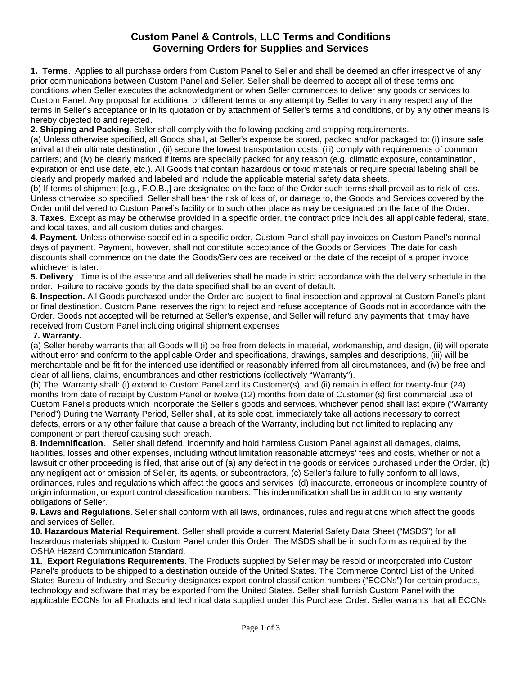## **Custom Panel & Controls, LLC Terms and Conditions Governing Orders for Supplies and Services**

**1. Terms**. Applies to all purchase orders from Custom Panel to Seller and shall be deemed an offer irrespective of any prior communications between Custom Panel and Seller. Seller shall be deemed to accept all of these terms and conditions when Seller executes the acknowledgment or when Seller commences to deliver any goods or services to Custom Panel. Any proposal for additional or different terms or any attempt by Seller to vary in any respect any of the terms in Seller's acceptance or in its quotation or by attachment of Seller's terms and conditions, or by any other means is hereby objected to and rejected.

**2. Shipping and Packing**. Seller shall comply with the following packing and shipping requirements.

(a) Unless otherwise specified, all Goods shall, at Seller's expense be stored, packed and/or packaged to: (i) insure safe arrival at their ultimate destination; (ii) secure the lowest transportation costs; (iii) comply with requirements of common carriers; and (iv) be clearly marked if items are specially packed for any reason (e.g. climatic exposure, contamination, expiration or end use date, etc.). All Goods that contain hazardous or toxic materials or require special labeling shall be clearly and properly marked and labeled and include the applicable material safety data sheets.

(b) If terms of shipment [e.g., F.O.B.,] are designated on the face of the Order such terms shall prevail as to risk of loss. Unless otherwise so specified, Seller shall bear the risk of loss of, or damage to, the Goods and Services covered by the Order until delivered to Custom Panel's facility or to such other place as may be designated on the face of the Order.

**3. Taxes***.* Except as may be otherwise provided in a specific order, the contract price includes all applicable federal, state, and local taxes, and all custom duties and charges.

**4. Payment**. Unless otherwise specified in a specific order, Custom Panel shall pay invoices on Custom Panel's normal days of payment. Payment, however, shall not constitute acceptance of the Goods or Services. The date for cash discounts shall commence on the date the Goods/Services are received or the date of the receipt of a proper invoice whichever is later.

**5. Delivery**. Time is of the essence and all deliveries shall be made in strict accordance with the delivery schedule in the order. Failure to receive goods by the date specified shall be an event of default.

**6. Inspection.** All Goods purchased under the Order are subject to final inspection and approval at Custom Panel's plant or final destination. Custom Panel reserves the right to reject and refuse acceptance of Goods not in accordance with the Order. Goods not accepted will be returned at Seller's expense, and Seller will refund any payments that it may have received from Custom Panel including original shipment expenses

## **7. Warranty.**

(a) Seller hereby warrants that all Goods will (i) be free from defects in material, workmanship, and design, (ii) will operate without error and conform to the applicable Order and specifications, drawings, samples and descriptions, (iii) will be merchantable and be fit for the intended use identified or reasonably inferred from all circumstances, and (iv) be free and clear of all liens, claims, encumbrances and other restrictions (collectively "Warranty").

(b) The Warranty shall: (i) extend to Custom Panel and its Customer(s), and (ii) remain in effect for twenty-four (24) months from date of receipt by Custom Panel or twelve (12) months from date of Customer'(s) first commercial use of Custom Panel's products which incorporate the Seller's goods and services, whichever period shall last expire ("Warranty Period") During the Warranty Period, Seller shall, at its sole cost, immediately take all actions necessary to correct defects, errors or any other failure that cause a breach of the Warranty, including but not limited to replacing any component or part thereof causing such breach.

**8. Indemnification**. Seller shall defend, indemnify and hold harmless Custom Panel against all damages, claims, liabilities, losses and other expenses, including without limitation reasonable attorneys' fees and costs, whether or not a lawsuit or other proceeding is filed, that arise out of (a) any defect in the goods or services purchased under the Order, (b) any negligent act or omission of Seller, its agents, or subcontractors, (c) Seller's failure to fully conform to all laws, ordinances, rules and regulations which affect the goods and services (d) inaccurate, erroneous or incomplete country of origin information, or export control classification numbers. This indemnification shall be in addition to any warranty obligations of Seller.

**9. Laws and Regulations**. Seller shall conform with all laws, ordinances, rules and regulations which affect the goods and services of Seller.

**10. Hazardous Material Requirement**. Seller shall provide a current Material Safety Data Sheet ("MSDS") for all hazardous materials shipped to Custom Panel under this Order. The MSDS shall be in such form as required by the OSHA Hazard Communication Standard.

**11. Export Regulations Requirements**. The Products supplied by Seller may be resold or incorporated into Custom Panel's products to be shipped to a destination outside of the United States. The Commerce Control List of the United States Bureau of Industry and Security designates export control classification numbers ("ECCNs") for certain products, technology and software that may be exported from the United States. Seller shall furnish Custom Panel with the applicable ECCNs for all Products and technical data supplied under this Purchase Order. Seller warrants that all ECCNs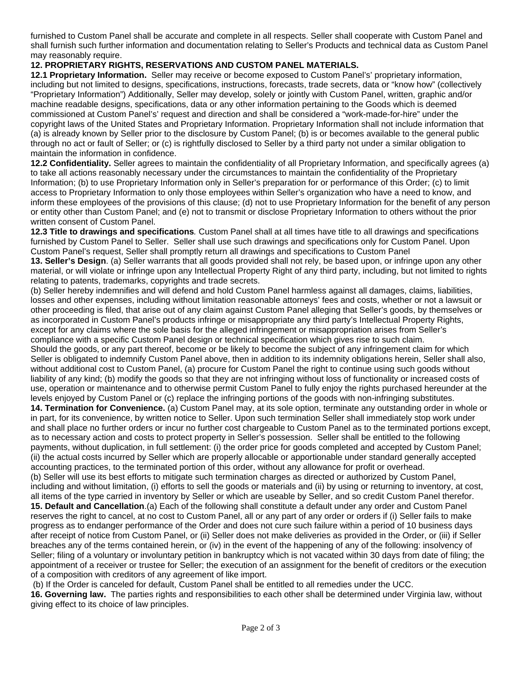furnished to Custom Panel shall be accurate and complete in all respects. Seller shall cooperate with Custom Panel and shall furnish such further information and documentation relating to Seller's Products and technical data as Custom Panel may reasonably require.

## **12. PROPRIETARY RIGHTS, RESERVATIONS AND CUSTOM PANEL MATERIALS.**

**12.1 Proprietary Information.** Seller may receive or become exposed to Custom Panel's' proprietary information, including but not limited to designs, specifications, instructions, forecasts, trade secrets, data or "know how" (collectively "Proprietary Information") Additionally, Seller may develop, solely or jointly with Custom Panel, written, graphic and/or machine readable designs, specifications, data or any other information pertaining to the Goods which is deemed commissioned at Custom Panel's' request and direction and shall be considered a "work-made-for-hire" under the copyright laws of the United States and Proprietary Information. Proprietary Information shall not include information that (a) is already known by Seller prior to the disclosure by Custom Panel; (b) is or becomes available to the general public through no act or fault of Seller; or (c) is rightfully disclosed to Seller by a third party not under a similar obligation to maintain the information in confidence.

**12.2 Confidentiality.** Seller agrees to maintain the confidentiality of all Proprietary Information, and specifically agrees (a) to take all actions reasonably necessary under the circumstances to maintain the confidentiality of the Proprietary Information; (b) to use Proprietary Information only in Seller's preparation for or performance of this Order; (c) to limit access to Proprietary Information to only those employees within Seller's organization who have a need to know, and inform these employees of the provisions of this clause; (d) not to use Proprietary Information for the benefit of any person or entity other than Custom Panel; and (e) not to transmit or disclose Proprietary Information to others without the prior written consent of Custom Panel.

**12.3 Title to drawings and specifications***.* Custom Panel shall at all times have title to all drawings and specifications furnished by Custom Panel to Seller. Seller shall use such drawings and specifications only for Custom Panel. Upon Custom Panel's request, Seller shall promptly return all drawings and specifications to Custom Panel

**13. Seller's Design**. (a) Seller warrants that all goods provided shall not rely, be based upon, or infringe upon any other material, or will violate or infringe upon any Intellectual Property Right of any third party, including, but not limited to rights relating to patents, trademarks, copyrights and trade secrets.

(b) Seller hereby indemnifies and will defend and hold Custom Panel harmless against all damages, claims, liabilities, losses and other expenses, including without limitation reasonable attorneys' fees and costs, whether or not a lawsuit or other proceeding is filed, that arise out of any claim against Custom Panel alleging that Seller's goods, by themselves or as incorporated in Custom Panel's products infringe or misappropriate any third party's Intellectual Property Rights, except for any claims where the sole basis for the alleged infringement or misappropriation arises from Seller's compliance with a specific Custom Panel design or technical specification which gives rise to such claim. Should the goods, or any part thereof, become or be likely to become the subject of any infringement claim for which Seller is obligated to indemnify Custom Panel above, then in addition to its indemnity obligations herein, Seller shall also, without additional cost to Custom Panel, (a) procure for Custom Panel the right to continue using such goods without liability of any kind; (b) modify the goods so that they are not infringing without loss of functionality or increased costs of use, operation or maintenance and to otherwise permit Custom Panel to fully enjoy the rights purchased hereunder at the levels enjoyed by Custom Panel or (c) replace the infringing portions of the goods with non-infringing substitutes. **14. Termination for Convenience.** (a) Custom Panel may, at its sole option, terminate any outstanding order in whole or in part, for its convenience, by written notice to Seller. Upon such termination Seller shall immediately stop work under and shall place no further orders or incur no further cost chargeable to Custom Panel as to the terminated portions except, as to necessary action and costs to protect property in Seller's possession. Seller shall be entitled to the following payments, without duplication, in full settlement: (i) the order price for goods completed and accepted by Custom Panel; (ii) the actual costs incurred by Seller which are properly allocable or apportionable under standard generally accepted accounting practices, to the terminated portion of this order, without any allowance for profit or overhead. (b) Seller will use its best efforts to mitigate such termination charges as directed or authorized by Custom Panel, including and without limitation, (i) efforts to sell the goods or materials and (ii) by using or returning to inventory, at cost, all items of the type carried in inventory by Seller or which are useable by Seller, and so credit Custom Panel therefor. **15. Default and Cancellation**.(a) Each of the following shall constitute a default under any order and Custom Panel reserves the right to cancel, at no cost to Custom Panel, all or any part of any order or orders if (i) Seller fails to make progress as to endanger performance of the Order and does not cure such failure within a period of 10 business days after receipt of notice from Custom Panel, or (ii) Seller does not make deliveries as provided in the Order, or (iii) if Seller breaches any of the terms contained herein, or (iv) in the event of the happening of any of the following: insolvency of Seller; filing of a voluntary or involuntary petition in bankruptcy which is not vacated within 30 days from date of filing; the appointment of a receiver or trustee for Seller; the execution of an assignment for the benefit of creditors or the execution of a composition with creditors of any agreement of like import.

(b) If the Order is canceled for default, Custom Panel shall be entitled to all remedies under the UCC.

**16. Governing law.** The parties rights and responsibilities to each other shall be determined under Virginia law, without giving effect to its choice of law principles.